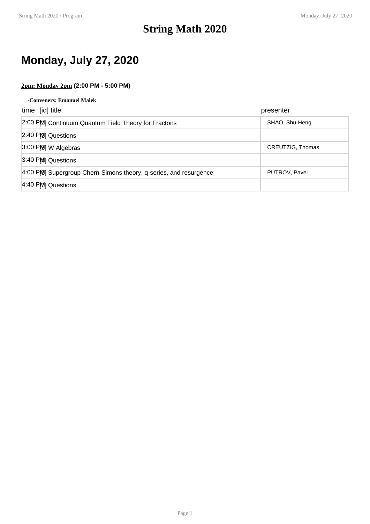### **String Math 2020**

## **Monday, July 27, 2020**

### **2pm: Monday 2pm (2:00 PM - 5:00 PM)**

| -Conveners: Emanuel Malek |  |
|---------------------------|--|
|---------------------------|--|

| time [id] title                                                  | presenter        |
|------------------------------------------------------------------|------------------|
| [2:00 FM] Continuum Quantum Field Theory for Fractons            | SHAO, Shu-Heng   |
| 2:40 FM Questions                                                |                  |
| $3:00$ FM W Algebras                                             | CREUTZIG, Thomas |
| 3:40 FM Questions                                                |                  |
| 4:00 FM Supergroup Chern-Simons theory, q-series, and resurgence | PUTROV, Pavel    |
| 4:40 FM Questions                                                |                  |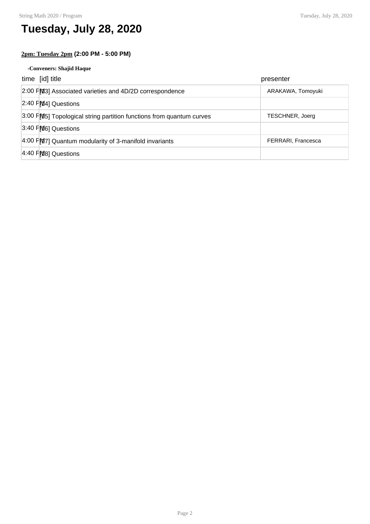## **Tuesday, July 28, 2020**

### **2pm: Tuesday 2pm (2:00 PM - 5:00 PM)**

#### **-Conveners: Shajid Haque**

| time [id] title                                                      | presenter              |
|----------------------------------------------------------------------|------------------------|
| 2:00 FM3] Associated varieties and 4D/2D correspondence              | ARAKAWA, Tomoyuki      |
| $2:40$ FM4] Questions                                                |                        |
| 3:00 FM5] Topological string partition functions from quantum curves | <b>TESCHNER, Joerg</b> |
| 3:40 PM6] Questions                                                  |                        |
| $4:00$ FM $7$ ] Quantum modularity of 3-manifold invariants          | FERRARI, Francesca     |
| 4:40 PM8] Questions                                                  |                        |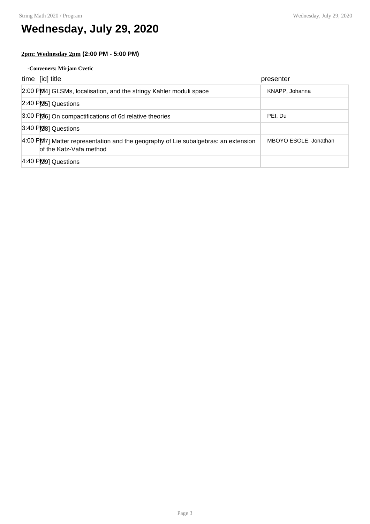## **Wednesday, July 29, 2020**

### **2pm: Wednesday 2pm (2:00 PM - 5:00 PM)**

#### **-Conveners: Mirjam Cvetic**

| time [id] title                                                                                                     | presenter             |
|---------------------------------------------------------------------------------------------------------------------|-----------------------|
| 2:00 FM41 GLSMs, localisation, and the stringy Kahler moduli space                                                  | KNAPP, Johanna        |
| $[2:40$ $F[25]$ Questions                                                                                           |                       |
| 3:00 FM6] On compactifications of 6d relative theories                                                              | PEI. Du               |
| 3:40 PM8] Questions                                                                                                 |                       |
| $4:00$ F $[27]$ Matter representation and the geography of Lie subalgebras: an extension<br>of the Katz-Vafa method | MBOYO ESOLE, Jonathan |
| 4:40 PM9] Questions                                                                                                 |                       |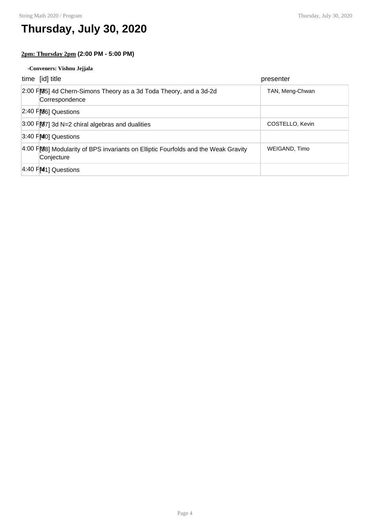## **Thursday, July 30, 2020**

### **2pm: Thursday 2pm (2:00 PM - 5:00 PM)**

#### **-Conveners: Vishnu Jejjala**

| time [id] title                                                                                 | presenter       |
|-------------------------------------------------------------------------------------------------|-----------------|
| 2:00 FM5] 4d Chern-Simons Theory as a 3d Toda Theory, and a 3d-2d<br>Correspondence             | TAN, Meng-Chwan |
| $[2:40$ F $[86]$ Questions                                                                      |                 |
| $3:00$ FM $7$ ] 3d N=2 chiral algebras and dualities                                            | COSTELLO, Kevin |
| 3:40 PM <sub>0</sub> ] Questions                                                                |                 |
| 4:00 PM8] Modularity of BPS invariants on Elliptic Fourfolds and the Weak Gravity<br>Conjecture | WEIGAND, Timo   |
| $4:40$ $F[41]$ Questions                                                                        |                 |